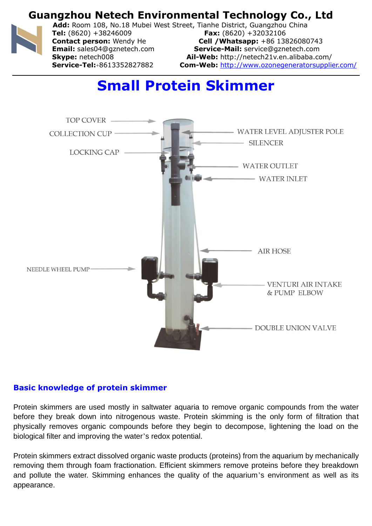

**Add:** Room 108, No.18 Mubei West Street, Tianhe District, Guangzhou China **Tel:** (8620) +38246009 **Fax:** (8620) +32032106

**Contact person:** Wendy He **Cell /Whatsapp:** +86 13826080743 **Email:** sales04@gznetech.com **Service-Mail:** service@gznetech.com **Skype:** netech008 **Ail-Web:** http://netech21v.en.alibaba.com/ **Service-Tel:**+8613352827882 **Com-Web:** http://www.ozonegeneratorsupplier.com/

# **Small Protein Skimmer**



### **Basic knowledge of protein skimmer**

Protein skimmers are used mostly in saltwater aquaria to remove organic compounds from the water before they break down into nitrogenous waste. Protein skimming is the only form of filtration that physically removes organic compounds before they begin to decompose, lightening the load on the biological filter and improving the water's redox potential.

Protein skimmers extract dissolved organic waste products (proteins) from the aquarium by mechanically removing them through foam fractionation. Efficient skimmers remove proteins before they breakdown and pollute the water. Skimming enhances the quality of the aquarium's environment as well as its appearance.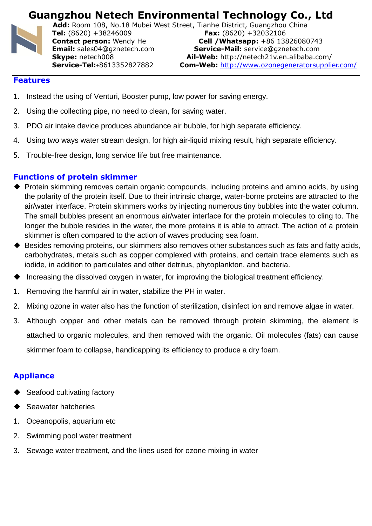

**Add:** Room 108, No.18 Mubei West Street, Tianhe District, Guangzhou China **Tel:** (8620) +38246009 **Fax:** (8620) +32032106

**Contact person:** Wendy He **Cell /Whatsapp:** +86 13826080743 **Email:** sales04@gznetech.com **Service-Mail:** service@gznetech.com **Skype:** netech008 **Ail-Web:** http://netech21v.en.alibaba.com/ **Service-Tel:**+8613352827882 **Com-Web:** http://www.ozonegeneratorsupplier.com/

#### **Features**

- 1. Instead the using of Venturi, Booster pump, low power for saving energy.
- 2. Using the collecting pipe, no need to clean, for saving water.
- 3. PDO air intake device produces abundance air bubble, for high separate efficiency.
- 4. Using two ways water stream design, for high air-liquid mixing result, high separate efficiency.
- 5. Trouble-free design, long service life but free maintenance.

#### **Functions of protein skimmer**

- ◆ Protein skimming removes certain organic compounds, including proteins and amino acids, by using the polarity of the protein itself. Due to their intrinsic charge, water-borne proteins are attracted to the air/water interface. Protein skimmers works by injecting numerous tiny bubbles into the water column. The small bubbles present an enormous air/water interface for the protein molecules to cling to. The longer the bubble resides in the water, the more proteins it is able to attract. The action of a protein skimmer is often compared to the action of waves producing sea foam.
- ◆ Besides removing proteins, our skimmers also removes other substances such as fats and fatty acids, carbohydrates, metals such as copper complexed with proteins, and certain trace elements such as iodide, in addition to particulates and other detritus, phytoplankton, and bacteria.
- Increasing the dissolved oxygen in water, for improving the biological treatment efficiency.
- 1. Removing the harmful air in water, stabilize the PH in water.
- 2. Mixing ozone in water also has the function of sterilization, disinfect ion and remove algae in water.
- 3. Although copper and other metals can be removed through protein skimming, the element is attached to organic molecules, and then removed with the organic. Oil molecules (fats) can cause skimmer foam to collapse, handicapping its efficiency to produce a dry foam.

### **Appliance**

- Seafood cultivating factory
- ◆ Seawater hatcheries
- 1. Oceanopolis, aquarium etc
- 2. Swimming pool water treatment
- 3. Sewage water treatment, and the lines used for ozone mixing in water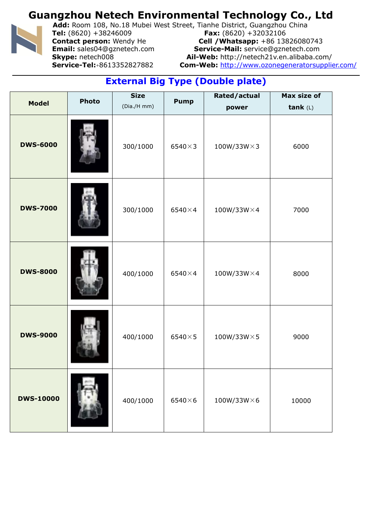

**Add:** Room 108, No.18 Mubei West Street, Tianhe District, Guangzhou China **Tel:** (8620) +38246009 **Fax:** (8620) +32032106

**Contact person:** Wendy He **Cell /Whatsapp:** +86 13826080743 **Email:** sales04@gznetech.com **Service-Mail:** service@gznetech.com **Skype:** netech008 **Ail-Web:** http://netech21v.en.alibaba.com/ **Service-Tel:**+8613352827882 **Com-Web:** http://www.ozonegeneratorsupplier.com/

## **External Big Type (Double plate)**

|                  | <b>Photo</b> | <b>Size</b> |                | Rated/actual        | Max size of |
|------------------|--------------|-------------|----------------|---------------------|-------------|
| <b>Model</b>     |              | (Dia./H mm) | <b>Pump</b>    | power               | tank $(L)$  |
| <b>DWS-6000</b>  |              | 300/1000    | $6540\times3$  | $100W/33W \times 3$ | 6000        |
| <b>DWS-7000</b>  |              | 300/1000    | $6540\times4$  | $100W/33W\times4$   | 7000        |
| <b>DWS-8000</b>  |              | 400/1000    | $6540\times4$  | $100W/33W\times4$   | 8000        |
| <b>DWS-9000</b>  |              | 400/1000    | $6540\times5$  | $100W/33W \times 5$ | 9000        |
| <b>DWS-10000</b> |              | 400/1000    | $6540\times 6$ | $100W/33W\times 6$  | 10000       |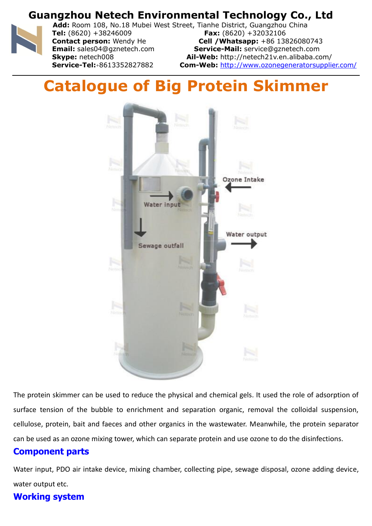

**Add:** Room 108, No.18 Mubei West Street, Tianhe District, Guangzhou China **Tel:** (8620) +38246009 **Fax:** (8620) +32032106

**Contact person:** Wendy He **Cell /Whatsapp:** +86 13826080743 **Email:** sales04@gznetech.com **Service-Mail:** service@gznetech.com **Skype:** netech008 **Ail-Web:** http://netech21v.en.alibaba.com/ **Service-Tel:**+8613352827882 **Com-Web:** http://www.ozonegeneratorsupplier.com/

# **Catalogue of Big Protein Skimmer**



The protein skimmer can be used to reduce the physical and chemical gels. It used the role of adsorption of surface tension of the bubble to enrichment and separation organic, removal the colloidal suspension, cellulose, protein, bait and faeces and other organics in the wastewater. Meanwhile, the protein separator can be used as an ozone mixing tower, which can separate protein and use ozone to do the disinfections.

### **Component parts**

Water input, PDO air intake device, mixing chamber, collecting pipe, sewage disposal, ozone adding device, water output etc.

### **Working system**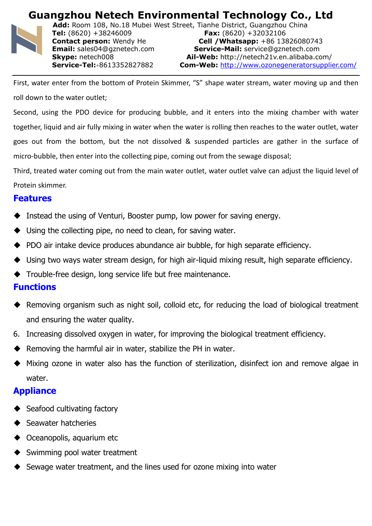

**Add:** Room 108, No.18 Mubei West Street, Tianhe District, Guangzhou China **Tel:** (8620) +38246009 **Fax:** (8620) +32032106 **Contact person:** Wendy He **Cell /Whatsapp:** +86 13826080743 **Email:** sales04@gznetech.com **Service-Mail:** service@gznetech.com **Skype:** netech008 **Ail-Web:** http://netech21v.en.alibaba.com/ **Service-Tel:**+8613352827882 **Com-Web:** http://www.ozonegeneratorsupplier.com/

First, water enter from the bottom of Protein Skimmer, "S" shape water stream, water moving up and then roll down to the water outlet;

Second, using the PDO device for producing bubble, and it enters into the mixing chamber with water together, liquid and air fully mixing in water when the water is rolling then reaches to the water outlet, water goes out from the bottom, but the not dissolved & suspended particles are gather in the surface of micro-bubble, then enter into the collecting pipe, coming out from the sewage disposal;

Third, treated water coming out from the main water outlet, water outlet valve can adjust the liquid level of Protein skimmer.

### **Features**

- Instead the using of Venturi, Booster pump, low power for saving energy.
- $\blacklozenge$  Using the collecting pipe, no need to clean, for saving water.
- ◆ PDO air intake device produces abundance air bubble, for high separate efficiency.
- Using two ways water stream design, for high air-liquid mixing result, high separate efficiency.
- Trouble-free design, long service life but free maintenance.

### **Functions**

- Removing organism such as night soil, colloid etc, for reducing the load of biological treatment and ensuring the water quality.
- 6. Increasing dissolved oxygen in water, for improving the biological treatment efficiency.
- Removing the harmful air in water, stabilize the PH in water.
- Mixing ozone in water also has the function of sterilization, disinfect ion and remove algae in water.

### **Appliance**

- Seafood cultivating factory
- Seawater hatcheries
- Oceanopolis, aquarium etc
- Swimming pool water treatment
- Sewage water treatment, and the lines used for ozone mixing into water